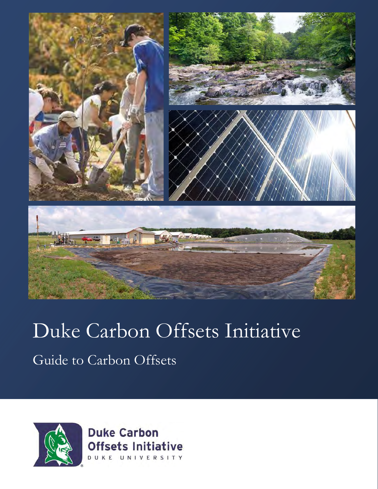

# Duke Carbon Offsets Initiative

Guide to Carbon Offsets



**Duke Carbon Offsets Initiative** DUKE UNIVERSITY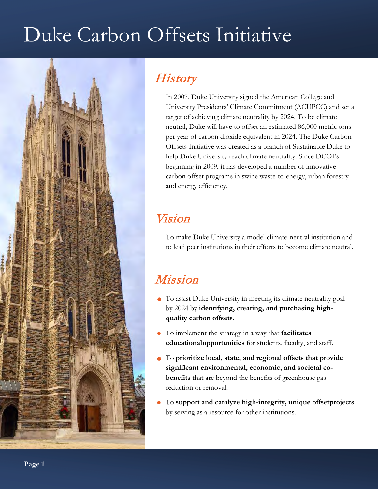# Duke Carbon Offsets Initiative



# **History**

In 2007, Duke University signed the American College and University Presidents' Climate Commitment (ACUPCC) and set a target of achieving climate neutrality by 2024. To be climate neutral, Duke will have to offset an estimated 86,000 metric tons per year of carbon dioxide equivalent in 2024. The Duke Carbon Offsets Initiative was created as a branch of Sustainable Duke to help Duke University reach climate neutrality. Since DCOI's beginning in 2009, it has developed a number of innovative carbon offset programs in swine waste-to-energy, urban forestry and energy efficiency.

## Vision

To make Duke University a model climate-neutral institution and to lead peer institutions in their efforts to become climate neutral.

## Mission

- To assist Duke University in meeting its climate neutrality goal by 2024 by **identifying, creating, and purchasing highquality carbon offsets.**
- To implement the strategy in a way that **facilitates educational opportunities** for students, faculty, and staff.
- To **prioritize local, state, and regional offsets that provide significant environmental, economic, and societal cobenefits** that are beyond the benefits of greenhouse gas reduction or removal.
- To **support and catalyze high-integrity, unique offsetprojects** by serving as a resource for other institutions.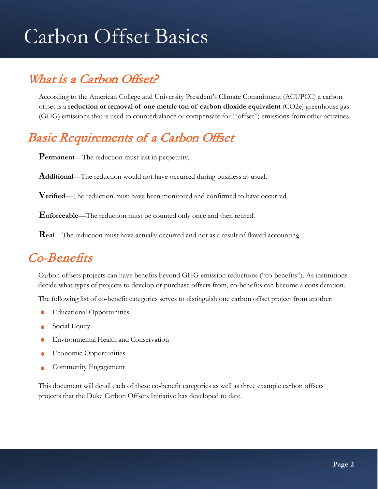# Carbon Offset Basics

# What is a Carbon Offset?

According to the American College and University President's Climate Commitment (ACUPCC) a carbon offset is a **reduction or removal of one metric ton of carbon dioxide equivalent** (CO2e) greenhouse gas (GHG) emissions that is used to counterbalance or compensate for ("offset") emissions from other activities.

## Basic Requirements of a Carbon Offset

**Permanent**—The reduction must last in perpetuity.

**Additional**—The reduction would not have occurred during business as usual.

**Verified**—The reduction must have been monitored and confirmed to have occurred.

**Enforceable**—The reduction must be counted only once and then retired.

**Real**—The reduction must have actually occurred and not as a result of flawed accounting.

# Co-Benefits

Carbon offsets projects can have benefits beyond GHG emission reductions ("co-benefits"). As institutions decide what types of projects to develop or purchase offsets from, co-benefits can become a consideration.

The following list of co-benefit categories serves to distinguish one carbon offset project from another:

- Educational Opportunities
- Social Equity  $\bullet$
- Environmental Health and Conservation
- Economic Opportunities
- Community Engagement

This document will detail each of these co-benefit categories as well as three example carbon offsets projects that the Duke Carbon Offsets Initiative has developed to date.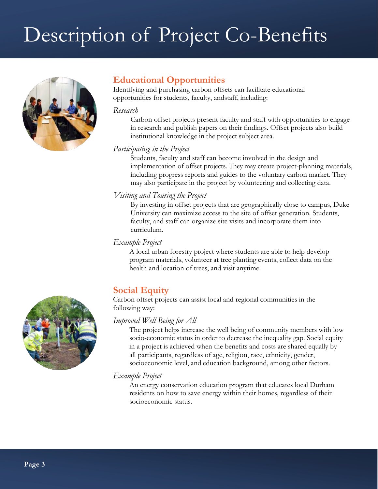# Description of Project Co-Benefits



### **Educational Opportunities**

Identifying and purchasing carbon offsets can facilitate educational opportunities for students, faculty, and staff, including:

#### *Research*

Carbon offset projects present faculty and staff with opportunities to engage in research and publish papers on their findings. Offset projects also build institutional knowledge in the project subject area.

#### *Participating in the Project*

Students, faculty and staff can become involved in the design and implementation of offset projects. They may create project-planning materials, including progress reports and guides to the voluntary carbon market. They may also participate in the project by volunteering and collecting data.

#### *Visiting and Touring the Project*

By investing in offset projects that are geographically close to campus, Duke University can maximize access to the site of offset generation. Students, faculty, and staff can organize site visits and incorporate them into curriculum.

#### *Example Project*

A local urban forestry project where students are able to help develop program materials, volunteer at tree planting events, collect data on the health and location of trees, and visit anytime.

## **Social Equity**

Carbon offset projects can assist local and regional communities in the following way:

#### *Improved Well Being for All*

The project helps increase the well being of community members with low socio-economic status in order to decrease the inequality gap. Social equity in a project is achieved when the benefits and costs are shared equally by all participants, regardless of age, religion, race, ethnicity, gender, socioeconomic level, and education background, among other factors.

#### *Example Project*

An energy conservation education program that educates local Durham residents on how to save energy within their homes, regardless of their socioeconomic status.

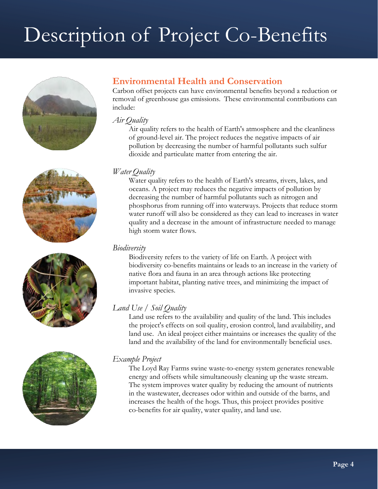# Description of Project Co-Benefits









## **Environmental Health and Conservation**

Carbon offset projects can have environmental benefits beyond a reduction or removal of greenhouse gas emissions. These environmental contributions can include:

#### *Air Quality*

Air quality refers to the health of Earth's atmosphere and the cleanliness of ground-level air. The project reduces the negative impacts of air pollution by decreasing the number of harmful pollutants such sulfur dioxide and particulate matter from entering the air.

#### *Water Quality*

Water quality refers to the health of Earth's streams, rivers, lakes, and oceans. A project may reduces the negative impacts of pollution by decreasing the number of harmful pollutants such as nitrogen and phosphorus from running off into waterways. Projects that reduce storm water runoff will also be considered as they can lead to increases in water quality and a decrease in the amount of infrastructure needed to manage high storm water flows.

#### *Biodiversity*

Biodiversity refers to the variety of life on Earth. A project with biodiversity co-benefits maintains or leads to an increase in the variety of native flora and fauna in an area through actions like protecting important habitat, planting native trees, and minimizing the impact of invasive species.

### *Land Use / Soil Quality*

Land use refers to the availability and quality of the land. This includes the project's effects on soil quality, erosion control, land availability, and land use. An ideal project either maintains or increases the quality of the land and the availability of the land for environmentally beneficial uses.

### *Example Project*

The Loyd Ray Farms swine waste-to-energy system generates renewable energy and offsets while simultaneously cleaning up the waste stream. The system improves water quality by reducing the amount of nutrients in the wastewater, decreases odor within and outside of the barns, and increases the health of the hogs. Thus, this project provides positive co-benefits for air quality, water quality, and land use.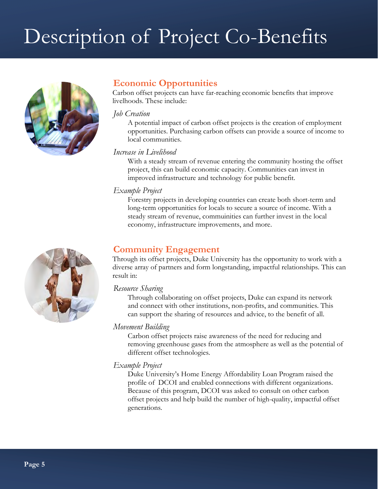# Description of Project Co-Benefits



### **Economic Opportunities**

Carbon offset projects can have far-reaching economic benefits that improve livelhoods. These include:

#### *Job Creation*

A potential impact of carbon offset projects is the creation of employment opportunities. Purchasing carbon offsets can provide a source of income to local communities.

#### *Increase in Livelihood*

With a steady stream of revenue entering the community hosting the offset project, this can build economic capacity. Communities can invest in improved infrastructure and technology for public benefit.

#### *Example Project*

Forestry projects in developing countries can create both short-term and long-term opportunities for locals to secure a source of income. With a steady stream of revenue, commuinities can further invest in the local economy, infrastructure improvements, and more.

## **Community Engagement**

Through its offset projects, Duke University has the opportunity to work with a diverse array of partners and form longstanding, impactful relationships. This can result in:

#### *Resource Sharing*

Through collaborating on offset projects, Duke can expand its network and connect with other institutions, non-profits, and communities. This can support the sharing of resources and advice, to the benefit of all.

#### *Movement Building*

Carbon offset projects raise awareness of the need for reducing and removing greenhouse gases from the atmosphere as well as the potential of different offset technologies.

#### *Example Project*

Duke University's Home Energy Affordability Loan Program raised the profile of DCOI and enabled connections with different organizations. Because of this program, DCOI was asked to consult on other carbon offset projects and help build the number of high-quality, impactful offset generations.

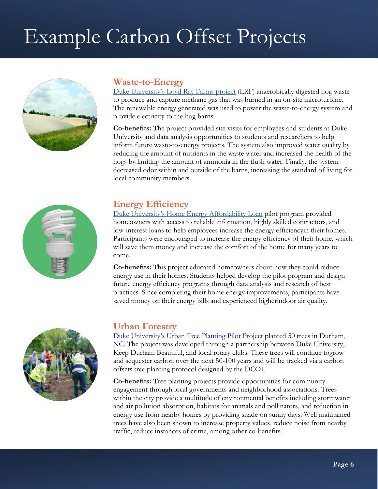# Example Carbon Offset Projects



### **Waste-to-Energy**

[Duke University's Loyd Ray Farms project](https://sustainability.duke.edu/offsets/projects/lrf) (LRF) anaerobically digested hog waste to produce and capture methane gas that was burned in an on-site microturbine. The renewable energy generated was used to power the waste-to-energy system and provide electricity to the hog barns.

**Co-benefits:** The project provided site visits for employees and students at Duke University and data analysis opportunities to students and researchers to help inform future waste-to-energy projects. The system also improved water quality by reducing the amount of nutrients in the waste water and increased the health of the hogs by limiting the amount of ammonia in the flush water. Finally, the system decreased odor within and outside of the barns, increasing the standard of living for local community members.



### **Energy Efficiency**

[Duke University's Home Energy Affordability Loan p](https://sustainability.duke.edu/offsets/projects/residential)ilot program provided homeowners with access to reliable information, highly skilled contractors, and low-interest loans to help employees increase the energy efficiency in their homes. Participants were encouraged to increase the energy efficiency of their home, which will save them money and increase the comfort of the home for many years to come.

**Co-benefits:** This project educated homeowners about how they could reduce energy use in their homes. Students helped develop the pilot program and design future energy efficiency programs through data analysis and research of best practices. Since completing their home energy improvements, participants have saved money on their energy bills and experienced higher indoor air quality.



#### **Urban Forestry**

[Duke University's Urban Tree Planting Pilot Project](https://sustainability.duke.edu/offsets/projects/forestry) planted 50 trees in Durham, NC. The project was developed through a partnership between Duke University, Keep Durham Beautiful, and local rotary clubs. These trees will continue togrow and sequester carbon over the next 50-100 years and will be tracked via a carbon offsets tree planting protocol designed by the DCOI.

**Co-benefits:** Tree planting projects provide opportunities for community engagement through local governments and neighborhood associations. Trees within the city provide a multitude of environmental benefits including stormwater and air pollution absorption, habitats for animals and pollinators, and reduction in energy use from nearby homes by providing shade on sunny days. Well maintained trees have also been shown to increase property values, reduce noise from nearby traffic, reduce instances of crime, among other co-benefits.